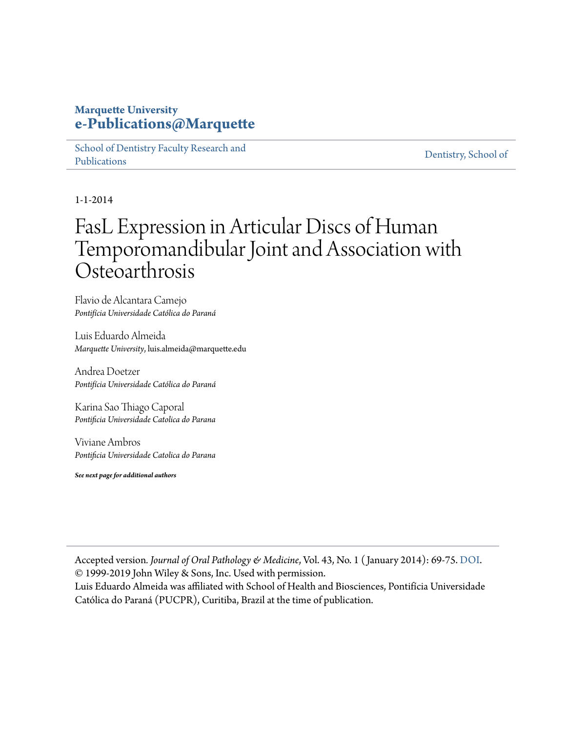# **Marquette University [e-Publications@Marquette](https://epublications.marquette.edu)**

[School of Dentistry Faculty Research and](https://epublications.marquette.edu/dentistry_fac) [Publications](https://epublications.marquette.edu/dentistry_fac)

[Dentistry, School of](https://epublications.marquette.edu/dentistry)

1-1-2014

# FasL Expression in Articular Discs of Human Temporomandibular Joint and Association with **Osteoarthrosis**

Flavio de Alcantara Camejo *Pontifícia Universidade Católica do Paraná*

Luis Eduardo Almeida *Marquette University*, luis.almeida@marquette.edu

Andrea Doetzer *Pontifícia Universidade Católica do Paraná*

Karina Sao Thiago Caporal *Pontificia Universidade Catolica do Parana*

Viviane Ambros *Pontificia Universidade Catolica do Parana*

*See next page for additional authors*

Accepted version*. Journal of Oral Pathology & Medicine*, Vol. 43, No. 1 ( January 2014): 69-75. [DOI](https://doi.org/10.1111/jop.12089). © 1999-2019 John Wiley & Sons, Inc. Used with permission.

Luis Eduardo Almeida was affiliated with School of Health and Biosciences, Pontifícia Universidade Católica do Paraná (PUCPR), Curitiba, Brazil at the time of publication.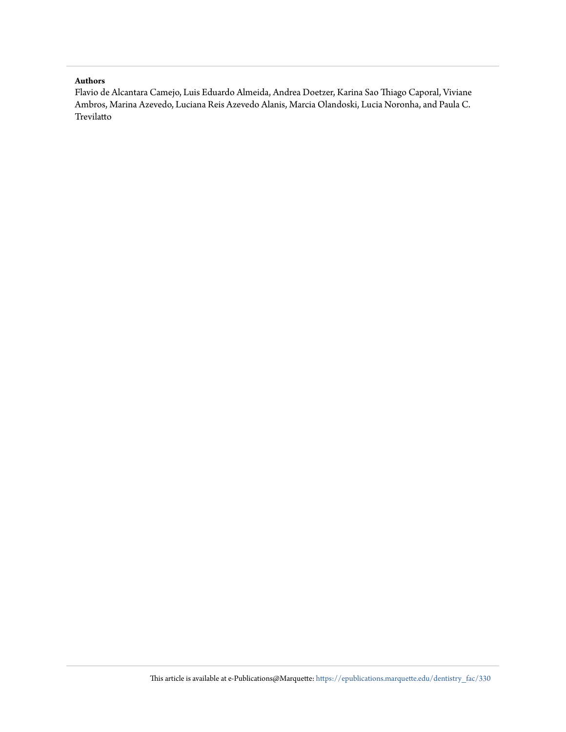#### **Authors**

Flavio de Alcantara Camejo, Luis Eduardo Almeida, Andrea Doetzer, Karina Sao Thiago Caporal, Viviane Ambros, Marina Azevedo, Luciana Reis Azevedo Alanis, Marcia Olandoski, Lucia Noronha, and Paula C. Trevilatto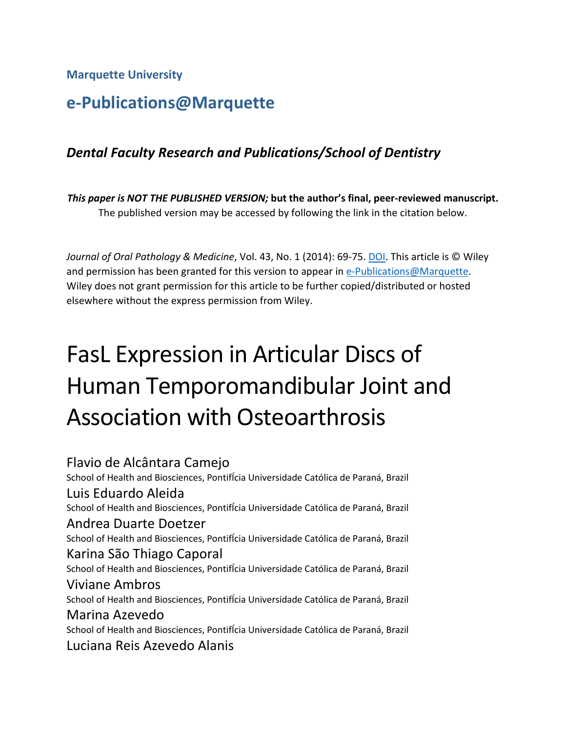**Marquette University**

# **e-Publications@Marquette**

# *Dental Faculty Research and Publications/School of Dentistry*

*This paper is NOT THE PUBLISHED VERSION;* **but the author's final, peer-reviewed manuscript.**  The published version may be accessed by following the link in the citation below.

*Journal of Oral Pathology & Medicine*, Vol. 43, No. 1 (2014): 69-75[. DOI.](https://doi.org/10.1111/jop.12089) This article is © Wiley and permission has been granted for this version to appear in [e-Publications@Marquette.](http://epublications.marquette.edu/) Wiley does not grant permission for this article to be further copied/distributed or hosted elsewhere without the express permission from Wiley.

# FasL Expression in Articular Discs of Human Temporomandibular Joint and Association with Osteoarthrosis

# Flavio de Alcântara Camejo

School of Health and Biosciences, PontifÍcia Universidade Católica de Paraná, Brazil Luis Eduardo Aleida School of Health and Biosciences, PontifÍcia Universidade Católica de Paraná, Brazil Andrea Duarte Doetzer School of Health and Biosciences, PontifÍcia Universidade Católica de Paraná, Brazil Karina São Thiago Caporal School of Health and Biosciences, PontifÍcia Universidade Católica de Paraná, Brazil Viviane Ambros School of Health and Biosciences, PontifÍcia Universidade Católica de Paraná, Brazil Marina Azevedo School of Health and Biosciences, PontifÍcia Universidade Católica de Paraná, Brazil Luciana Reis Azevedo Alanis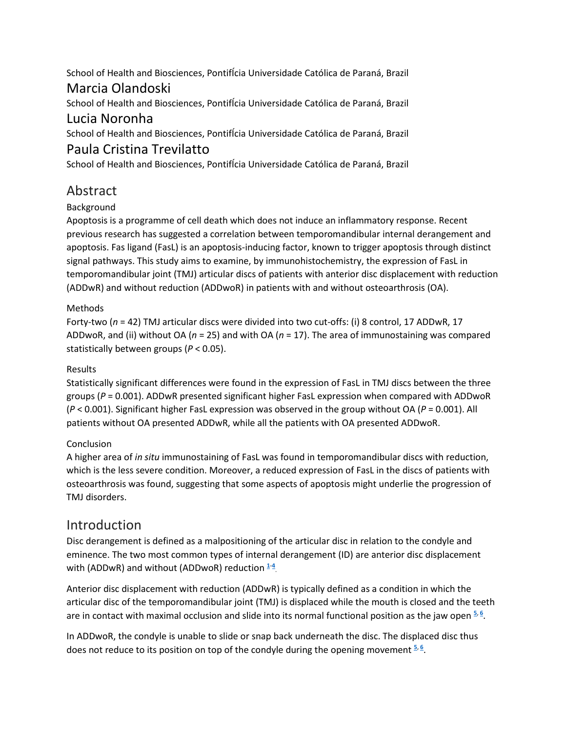School of Health and Biosciences, PontifÍcia Universidade Católica de Paraná, Brazil Marcia Olandoski

School of Health and Biosciences, PontifÍcia Universidade Católica de Paraná, Brazil Lucia Noronha

School of Health and Biosciences, PontifÍcia Universidade Católica de Paraná, Brazil Paula Cristina Trevilatto

School of Health and Biosciences, PontifÍcia Universidade Católica de Paraná, Brazil

# Abstract

### Background

Apoptosis is a programme of cell death which does not induce an inflammatory response. Recent previous research has suggested a correlation between temporomandibular internal derangement and apoptosis. Fas ligand (FasL) is an apoptosis-inducing factor, known to trigger apoptosis through distinct signal pathways. This study aims to examine, by immunohistochemistry, the expression of FasL in temporomandibular joint (TMJ) articular discs of patients with anterior disc displacement with reduction (ADDwR) and without reduction (ADDwoR) in patients with and without osteoarthrosis (OA).

#### Methods

Forty-two (*n* = 42) TMJ articular discs were divided into two cut-offs: (i) 8 control, 17 ADDwR, 17 ADDwoR, and (ii) without OA (*n* = 25) and with OA (*n* = 17). The area of immunostaining was compared statistically between groups (*P* < 0.05).

#### Results

Statistically significant differences were found in the expression of FasL in TMJ discs between the three groups (*P* = 0.001). ADDwR presented significant higher FasL expression when compared with ADDwoR (*P* < 0.001). Significant higher FasL expression was observed in the group without OA (*P* = 0.001). All patients without OA presented ADDwR, while all the patients with OA presented ADDwoR.

#### Conclusion

A higher area of *in situ* immunostaining of FasL was found in temporomandibular discs with reduction, which is the less severe condition. Moreover, a reduced expression of FasL in the discs of patients with osteoarthrosis was found, suggesting that some aspects of apoptosis might underlie the progression of TMJ disorders.

# Introduction

Disc derangement is defined as a malpositioning of the articular disc in relation to the condyle and eminence. The two most common types of internal derangement (ID) are anterior disc displacement with (ADDwR) and without (ADDwoR) reduction **[1](https://onlinelibrary.wiley.com/doi/full/10.1111/jop.12089#jop12089-bib-0001)**-**[4](https://onlinelibrary.wiley.com/doi/full/10.1111/jop.12089#jop12089-bib-0004)** .

Anterior disc displacement with reduction (ADDwR) is typically defined as a condition in which the articular disc of the temporomandibular joint (TMJ) is displaced while the mouth is closed and the teeth are in contact with maximal occlusion and slide into its normal functional position as the jaw open <sup>[5](https://onlinelibrary.wiley.com/doi/full/10.1111/jop.12089#jop12089-bib-0005), [6](https://onlinelibrary.wiley.com/doi/full/10.1111/jop.12089#jop12089-bib-0006)</sup>.

In ADDwoR, the condyle is unable to slide or snap back underneath the disc. The displaced disc thus does not reduce to its position on top of the condyle during the opening movement **[5](https://onlinelibrary.wiley.com/doi/full/10.1111/jop.12089#jop12089-bib-0005)**, **<sup>6</sup>** [.](https://onlinelibrary.wiley.com/doi/full/10.1111/jop.12089#jop12089-bib-0006)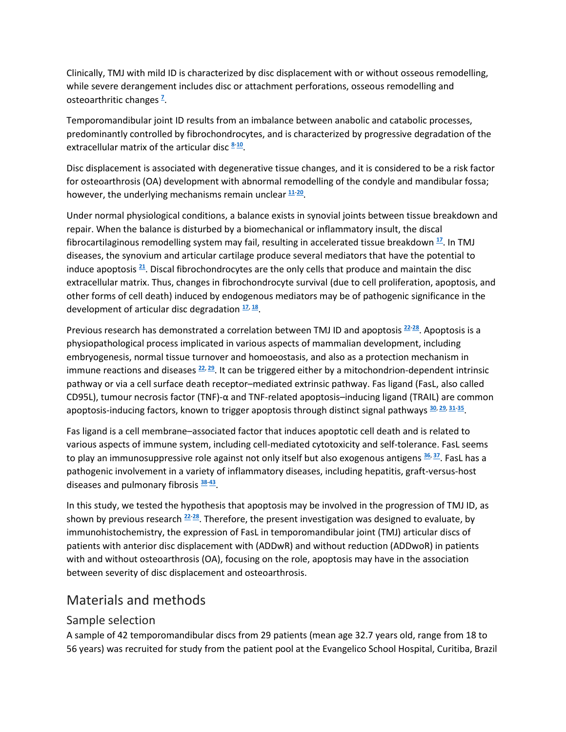Clinically, TMJ with mild ID is characterized by disc displacement with or without osseous remodelling, while severe derangement includes disc or attachment perforations, osseous remodelling and osteoarthritic changes **[7](https://onlinelibrary.wiley.com/doi/full/10.1111/jop.12089#jop12089-bib-0007)** .

Temporomandibular joint ID results from an imbalance between anabolic and catabolic processes, predominantly controlled by fibrochondrocytes, and is characterized by progressive degradation of the extracellular matrix of the articular disc **[8](https://onlinelibrary.wiley.com/doi/full/10.1111/jop.12089#jop12089-bib-0008)**-**[10](https://onlinelibrary.wiley.com/doi/full/10.1111/jop.12089#jop12089-bib-0010)**.

Disc displacement is associated with degenerative tissue changes, and it is considered to be a risk factor for osteoarthrosis (OA) development with abnormal remodelling of the condyle and mandibular fossa; however, the underlying mechanisms remain unclear **[11](https://onlinelibrary.wiley.com/doi/full/10.1111/jop.12089#jop12089-bib-0011)**-**[20](https://onlinelibrary.wiley.com/doi/full/10.1111/jop.12089#jop12089-bib-0020)**.

Under normal physiological conditions, a balance exists in synovial joints between tissue breakdown and repair. When the balance is disturbed by a biomechanical or inflammatory insult, the discal fibrocartilaginous remodelling system may fail, resulting in accelerated tissue breakdown **[17](https://onlinelibrary.wiley.com/doi/full/10.1111/jop.12089#jop12089-bib-0017)**. In TMJ diseases, the synovium and articular cartilage produce several mediators that have the potential to induce apoptosis **[21](https://onlinelibrary.wiley.com/doi/full/10.1111/jop.12089#jop12089-bib-0021)**. Discal fibrochondrocytes are the only cells that produce and maintain the disc extracellular matrix. Thus, changes in fibrochondrocyte survival (due to cell proliferation, apoptosis, and other forms of cell death) induced by endogenous mediators may be of pathogenic significance in the development of articular disc degradation **[17](https://onlinelibrary.wiley.com/doi/full/10.1111/jop.12089#jop12089-bib-0017)**, **[18](https://onlinelibrary.wiley.com/doi/full/10.1111/jop.12089#jop12089-bib-0018)**.

Previous research has demonstrated a correlation between TMJ ID and apoptosis **[22](https://onlinelibrary.wiley.com/doi/full/10.1111/jop.12089#jop12089-bib-0022)**-**[28](https://onlinelibrary.wiley.com/doi/full/10.1111/jop.12089#jop12089-bib-0028)**. Apoptosis is a physiopathological process implicated in various aspects of mammalian development, including embryogenesis, normal tissue turnover and homoeostasis, and also as a protection mechanism in immune reactions and diseases **[22](https://onlinelibrary.wiley.com/doi/full/10.1111/jop.12089#jop12089-bib-0022)**, **[29](https://onlinelibrary.wiley.com/doi/full/10.1111/jop.12089#jop12089-bib-0029)**. It can be triggered either by a mitochondrion-dependent intrinsic pathway or via a cell surface death receptor–mediated extrinsic pathway. Fas ligand (FasL, also called CD95L), tumour necrosis factor (TNF)‐α and TNF‐related apoptosis–inducing ligand (TRAIL) are common apoptosis-inducing factors, known to trigger apoptosis through distinct signal pathways **[30](https://onlinelibrary.wiley.com/doi/full/10.1111/jop.12089#jop12089-bib-0030)**, **[29](https://onlinelibrary.wiley.com/doi/full/10.1111/jop.12089#jop12089-bib-0029)**, **[31](https://onlinelibrary.wiley.com/doi/full/10.1111/jop.12089#jop12089-bib-0031)**-**[35](https://onlinelibrary.wiley.com/doi/full/10.1111/jop.12089#jop12089-bib-0035)**.

Fas ligand is a cell membrane–associated factor that induces apoptotic cell death and is related to various aspects of immune system, including cell-mediated cytotoxicity and self-tolerance. FasL seems to play an immunosuppressive role against not only itself but also exogenous antigens **[36](https://onlinelibrary.wiley.com/doi/full/10.1111/jop.12089#jop12089-bib-0036)**, **[37](https://onlinelibrary.wiley.com/doi/full/10.1111/jop.12089#jop12089-bib-0037)**. FasL has a pathogenic involvement in a variety of inflammatory diseases, including hepatitis, graft-versus-host diseases and pulmonary fibrosis **[38](https://onlinelibrary.wiley.com/doi/full/10.1111/jop.12089#jop12089-bib-0038)**-**[43](https://onlinelibrary.wiley.com/doi/full/10.1111/jop.12089#jop12089-bib-0043)**.

In this study, we tested the hypothesis that apoptosis may be involved in the progression of TMJ ID, as shown by previous research **[22](https://onlinelibrary.wiley.com/doi/full/10.1111/jop.12089#jop12089-bib-0022)**-**[28](https://onlinelibrary.wiley.com/doi/full/10.1111/jop.12089#jop12089-bib-0028)**. Therefore, the present investigation was designed to evaluate, by immunohistochemistry, the expression of FasL in temporomandibular joint (TMJ) articular discs of patients with anterior disc displacement with (ADDwR) and without reduction (ADDwoR) in patients with and without osteoarthrosis (OA), focusing on the role, apoptosis may have in the association between severity of disc displacement and osteoarthrosis.

# Materials and methods

### Sample selection

A sample of 42 temporomandibular discs from 29 patients (mean age 32.7 years old, range from 18 to 56 years) was recruited for study from the patient pool at the Evangelico School Hospital, Curitiba, Brazil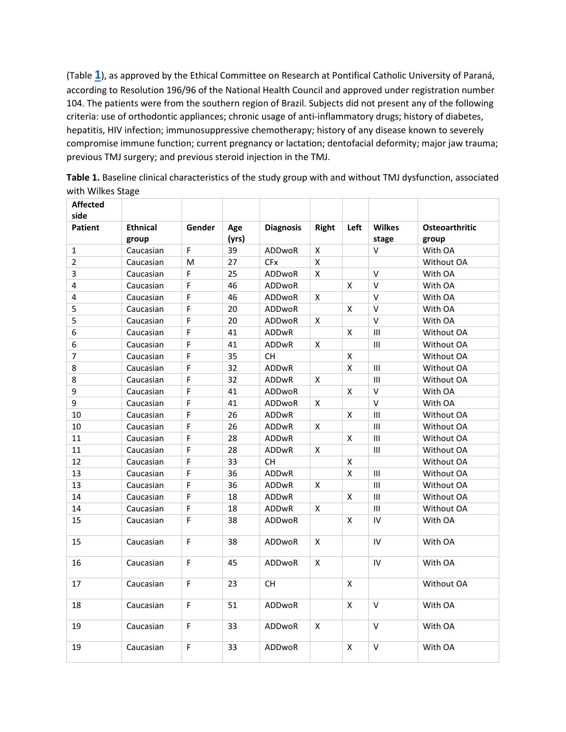(Table **[1](https://onlinelibrary.wiley.com/doi/full/10.1111/jop.12089#jop12089-tbl-0001)**), as approved by the Ethical Committee on Research at Pontifical Catholic University of Paraná, according to Resolution 196/96 of the National Health Council and approved under registration number 104. The patients were from the southern region of Brazil. Subjects did not present any of the following criteria: use of orthodontic appliances; chronic usage of anti-inflammatory drugs; history of diabetes, hepatitis, HIV infection; immunosuppressive chemotherapy; history of any disease known to severely compromise immune function; current pregnancy or lactation; dentofacial deformity; major jaw trauma; previous TMJ surgery; and previous steroid injection in the TMJ.

| Table 1. Baseline clinical characteristics of the study group with and without TMJ dysfunction, associated |  |
|------------------------------------------------------------------------------------------------------------|--|
| with Wilkes Stage                                                                                          |  |

| <b>Affected</b><br>side |                 |        |       |                       |                    |      |               |                       |
|-------------------------|-----------------|--------|-------|-----------------------|--------------------|------|---------------|-----------------------|
| <b>Patient</b>          | <b>Ethnical</b> | Gender | Age   | <b>Diagnosis</b>      | <b>Right</b>       | Left | <b>Wilkes</b> | <b>Osteoarthritic</b> |
|                         | group           |        | (yrs) |                       |                    |      | stage         | group                 |
| $\mathbf{1}$            | Caucasian       | F      | 39    | <b>ADDwoR</b>         | X                  |      | V             | With OA               |
| $\overline{2}$          | Caucasian       | M      | 27    | <b>CF<sub>x</sub></b> | $\pmb{\mathsf{X}}$ |      |               | Without OA            |
| 3                       | Caucasian       | F      | 25    | <b>ADDwoR</b>         | X                  |      | v             | With OA               |
| 4                       | Caucasian       | F      | 46    | ADDwoR                |                    | X    | v             | With OA               |
| 4                       | Caucasian       | F      | 46    | ADDwoR                | Χ                  |      | $\vee$        | With OA               |
| 5                       | Caucasian       | F      | 20    | ADDwoR                |                    | X    | V             | With OA               |
| 5                       | Caucasian       | F      | 20    | ADDwoR                | X                  |      | V             | With OA               |
| 6                       | Caucasian       | F      | 41    | ADDwR                 |                    | X    | III           | Without OA            |
| 6                       | Caucasian       | F      | 41    | <b>ADDwR</b>          | X                  |      | III           | Without OA            |
| $\overline{7}$          | Caucasian       | F      | 35    | CH                    |                    | X    |               | Without OA            |
| 8                       | Caucasian       | F      | 32    | ADDwR                 |                    | X.   | III           | Without OA            |
| 8                       | Caucasian       | F      | 32    | <b>ADDwR</b>          | X                  |      | III           | Without OA            |
| 9                       | Caucasian       | F      | 41    | <b>ADDwoR</b>         |                    | X    | V             | With OA               |
| 9                       | Caucasian       | F      | 41    | <b>ADDwoR</b>         | X                  |      | $\vee$        | With OA               |
| 10                      | Caucasian       | F      | 26    | ADDwR                 |                    | X    | III           | Without OA            |
| 10                      | Caucasian       | F      | 26    | ADDwR                 | X                  |      | III           | Without OA            |
| 11                      | Caucasian       | F      | 28    | ADDwR                 |                    | X    | III           | Without OA            |
| 11                      | Caucasian       | F      | 28    | ADDwR                 | Χ                  |      | III           | Without OA            |
| 12                      | Caucasian       | F      | 33    | <b>CH</b>             |                    | X.   |               | Without OA            |
| 13                      | Caucasian       | F      | 36    | ADDwR                 |                    | X    | III           | Without OA            |
| 13                      | Caucasian       | F      | 36    | ADDwR                 | $\pmb{\mathsf{X}}$ |      | III           | Without OA            |
| 14                      | Caucasian       | F      | 18    | <b>ADDwR</b>          |                    | X.   | III           | Without OA            |
| 14                      | Caucasian       | F      | 18    | ADDwR                 | Χ                  |      | III           | Without OA            |
| 15                      | Caucasian       | F      | 38    | ADDwoR                |                    | X    | IV            | With OA               |
| 15                      | Caucasian       | F      | 38    | <b>ADDwoR</b>         | X                  |      | IV            | With OA               |
| 16                      | Caucasian       | F      | 45    | ADDwoR                | $\mathsf{x}$       |      | IV            | With OA               |
| 17                      | Caucasian       | F.     | 23    | CH                    |                    | X    |               | Without OA            |
| 18                      | Caucasian       | F      | 51    | ADDwoR                |                    | X.   | V             | With OA               |
| 19                      | Caucasian       | F      | 33    | ADDwoR                | X                  |      | V             | With OA               |
| 19                      | Caucasian       | F      | 33    | <b>ADDwoR</b>         |                    | X    | V             | With OA               |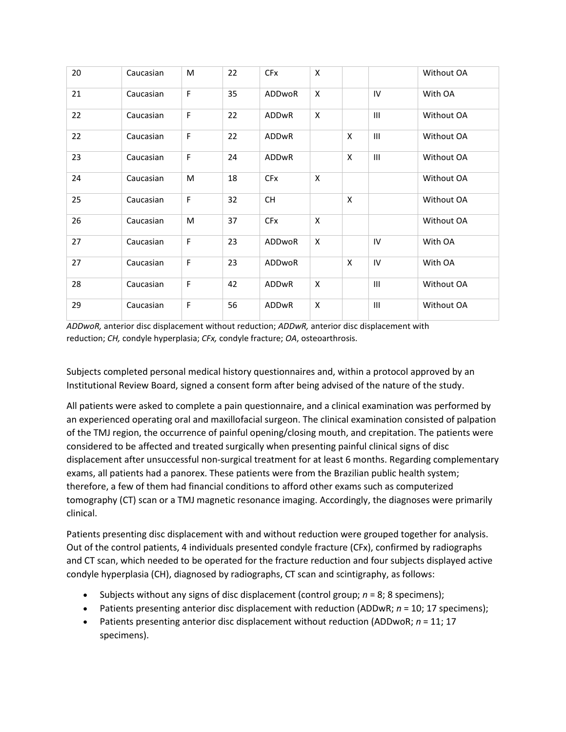| 20 | Caucasian | M | 22 | <b>CFx</b>   | X |              |                | Without OA |
|----|-----------|---|----|--------------|---|--------------|----------------|------------|
| 21 | Caucasian | F | 35 | ADDwoR       | X |              | IV             | With OA    |
| 22 | Caucasian | F | 22 | <b>ADDwR</b> | X |              | III            | Without OA |
| 22 | Caucasian | F | 22 | <b>ADDwR</b> |   | X            | $\mathbf{III}$ | Without OA |
| 23 | Caucasian | F | 24 | <b>ADDwR</b> |   | X            | $\mathbf{III}$ | Without OA |
| 24 | Caucasian | M | 18 | <b>CFx</b>   | X |              |                | Without OA |
| 25 | Caucasian | F | 32 | <b>CH</b>    |   | X            |                | Without OA |
| 26 | Caucasian | M | 37 | <b>CFx</b>   | X |              |                | Without OA |
| 27 | Caucasian | F | 23 | ADDwoR       | X |              | IV             | With OA    |
| 27 | Caucasian | F | 23 | ADDwoR       |   | $\mathsf{x}$ | IV             | With OA    |
| 28 | Caucasian | F | 42 | <b>ADDwR</b> | X |              | III            | Without OA |
| 29 | Caucasian | F | 56 | ADDwR        | X |              | III            | Without OA |

*ADDwoR,* anterior disc displacement without reduction; *ADDwR,* anterior disc displacement with reduction; *CH,* condyle hyperplasia; *CFx,* condyle fracture; *OA*, osteoarthrosis.

Subjects completed personal medical history questionnaires and, within a protocol approved by an Institutional Review Board, signed a consent form after being advised of the nature of the study.

All patients were asked to complete a pain questionnaire, and a clinical examination was performed by an experienced operating oral and maxillofacial surgeon. The clinical examination consisted of palpation of the TMJ region, the occurrence of painful opening/closing mouth, and crepitation. The patients were considered to be affected and treated surgically when presenting painful clinical signs of disc displacement after unsuccessful non-surgical treatment for at least 6 months. Regarding complementary exams, all patients had a panorex. These patients were from the Brazilian public health system; therefore, a few of them had financial conditions to afford other exams such as computerized tomography (CT) scan or a TMJ magnetic resonance imaging. Accordingly, the diagnoses were primarily clinical.

Patients presenting disc displacement with and without reduction were grouped together for analysis. Out of the control patients, 4 individuals presented condyle fracture (CFx), confirmed by radiographs and CT scan, which needed to be operated for the fracture reduction and four subjects displayed active condyle hyperplasia (CH), diagnosed by radiographs, CT scan and scintigraphy, as follows:

- Subjects without any signs of disc displacement (control group; *n* = 8; 8 specimens);
- Patients presenting anterior disc displacement with reduction (ADDwR; *n* = 10; 17 specimens);
- Patients presenting anterior disc displacement without reduction (ADDwoR; *n* = 11; 17 specimens).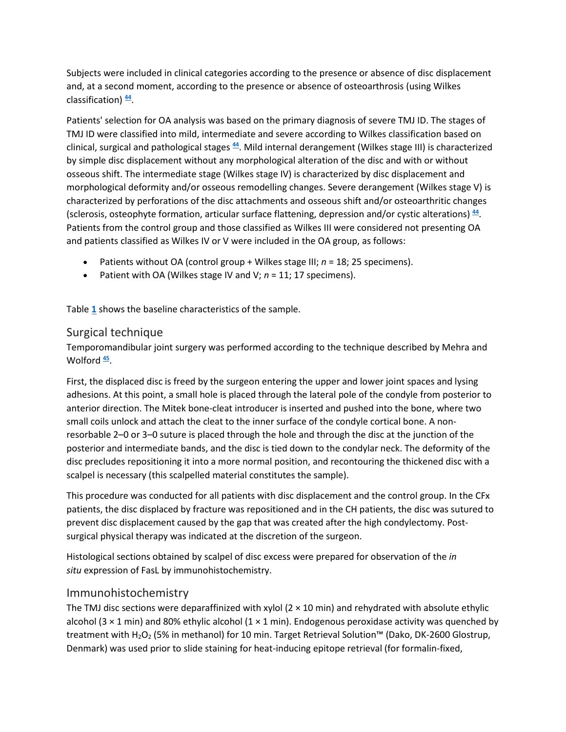Subjects were included in clinical categories according to the presence or absence of disc displacement and, at a second moment, according to the presence or absence of osteoarthrosis (using Wilkes classification) **[44](https://onlinelibrary.wiley.com/doi/full/10.1111/jop.12089#jop12089-bib-0044)**.

Patients' selection for OA analysis was based on the primary diagnosis of severe TMJ ID. The stages of TMJ ID were classified into mild, intermediate and severe according to Wilkes classification based on clinical, surgical and pathological stages **[44](https://onlinelibrary.wiley.com/doi/full/10.1111/jop.12089#jop12089-bib-0044)**. Mild internal derangement (Wilkes stage III) is characterized by simple disc displacement without any morphological alteration of the disc and with or without osseous shift. The intermediate stage (Wilkes stage IV) is characterized by disc displacement and morphological deformity and/or osseous remodelling changes. Severe derangement (Wilkes stage V) is characterized by perforations of the disc attachments and osseous shift and/or osteoarthritic changes (sclerosis, osteophyte formation, articular surface flattening, depression and/or cystic alterations) **[44](https://onlinelibrary.wiley.com/doi/full/10.1111/jop.12089#jop12089-bib-0044)**. Patients from the control group and those classified as Wilkes III were considered not presenting OA and patients classified as Wilkes IV or V were included in the OA group, as follows:

- Patients without OA (control group + Wilkes stage III; *n* = 18; 25 specimens).
- Patient with OA (Wilkes stage IV and V; *n* = 11; 17 specimens).

Table **[1](https://onlinelibrary.wiley.com/doi/full/10.1111/jop.12089#jop12089-tbl-0001)** shows the baseline characteristics of the sample.

#### Surgical technique

Temporomandibular joint surgery was performed according to the technique described by Mehra and Wolford **[45](https://onlinelibrary.wiley.com/doi/full/10.1111/jop.12089#jop12089-bib-0045)**.

First, the displaced disc is freed by the surgeon entering the upper and lower joint spaces and lysing adhesions. At this point, a small hole is placed through the lateral pole of the condyle from posterior to anterior direction. The Mitek bone-cleat introducer is inserted and pushed into the bone, where two small coils unlock and attach the cleat to the inner surface of the condyle cortical bone. A nonresorbable 2–0 or 3–0 suture is placed through the hole and through the disc at the junction of the posterior and intermediate bands, and the disc is tied down to the condylar neck. The deformity of the disc precludes repositioning it into a more normal position, and recontouring the thickened disc with a scalpel is necessary (this scalpelled material constitutes the sample).

This procedure was conducted for all patients with disc displacement and the control group. In the CFx patients, the disc displaced by fracture was repositioned and in the CH patients, the disc was sutured to prevent disc displacement caused by the gap that was created after the high condylectomy. Postsurgical physical therapy was indicated at the discretion of the surgeon.

Histological sections obtained by scalpel of disc excess were prepared for observation of the *in situ* expression of FasL by immunohistochemistry.

### Immunohistochemistry

The TMJ disc sections were deparaffinized with xylol  $(2 \times 10 \text{ min})$  and rehydrated with absolute ethylic alcohol (3  $\times$  1 min) and 80% ethylic alcohol (1  $\times$  1 min). Endogenous peroxidase activity was quenched by treatment with H<sub>2</sub>O<sub>2</sub> (5% in methanol) for 10 min. Target Retrieval Solution<sup>™</sup> (Dako, DK-2600 Glostrup, Denmark) was used prior to slide staining for heat-inducing epitope retrieval (for formalin-fixed,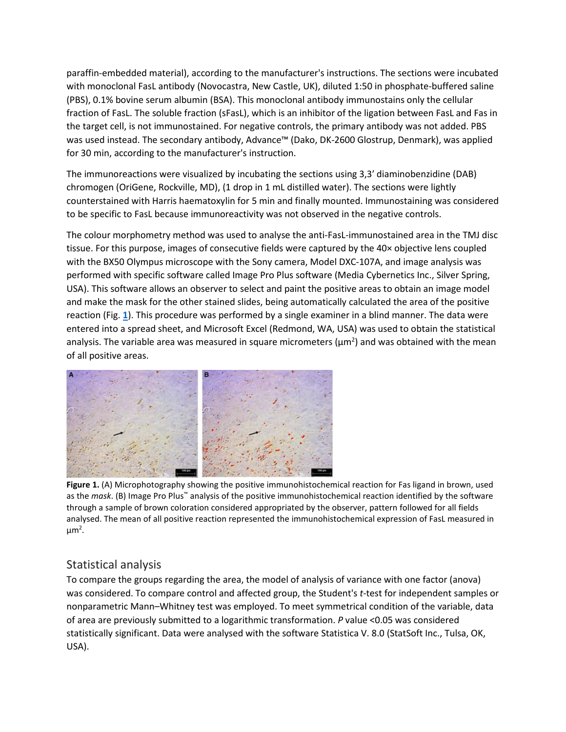paraffin-embedded material), according to the manufacturer's instructions. The sections were incubated with monoclonal FasL antibody (Novocastra, New Castle, UK), diluted 1:50 in phosphate-buffered saline (PBS), 0.1% bovine serum albumin (BSA). This monoclonal antibody immunostains only the cellular fraction of FasL. The soluble fraction (sFasL), which is an inhibitor of the ligation between FasL and Fas in the target cell, is not immunostained. For negative controls, the primary antibody was not added. PBS was used instead. The secondary antibody, Advance™ (Dako, DK-2600 Glostrup, Denmark), was applied for 30 min, according to the manufacturer's instruction.

The immunoreactions were visualized by incubating the sections using 3,3′ diaminobenzidine (DAB) chromogen (OriGene, Rockville, MD), (1 drop in 1 mL distilled water). The sections were lightly counterstained with Harris haematoxylin for 5 min and finally mounted. Immunostaining was considered to be specific to FasL because immunoreactivity was not observed in the negative controls.

The colour morphometry method was used to analyse the anti-FasL-immunostained area in the TMJ disc tissue. For this purpose, images of consecutive fields were captured by the 40× objective lens coupled with the BX50 Olympus microscope with the Sony camera, Model DXC-107A, and image analysis was performed with specific software called Image Pro Plus software (Media Cybernetics Inc., Silver Spring, USA). This software allows an observer to select and paint the positive areas to obtain an image model and make the mask for the other stained slides, being automatically calculated the area of the positive reaction (Fig. **[1](https://onlinelibrary.wiley.com/doi/full/10.1111/jop.12089#jop12089-fig-0001)**). This procedure was performed by a single examiner in a blind manner. The data were entered into a spread sheet, and Microsoft Excel (Redmond, WA, USA) was used to obtain the statistical analysis. The variable area was measured in square micrometers ( $\mu$ m<sup>2</sup>) and was obtained with the mean of all positive areas.



**Figure 1.** (A) Microphotography showing the positive immunohistochemical reaction for Fas ligand in brown, used as the *mask*. (B) Image Pro Plus™ analysis of the positive immunohistochemical reaction identified by the software through a sample of brown coloration considered appropriated by the observer, pattern followed for all fields analysed. The mean of all positive reaction represented the immunohistochemical expression of FasL measured in  $μm².$ 

### Statistical analysis

To compare the groups regarding the area, the model of analysis of variance with one factor (anova) was considered. To compare control and affected group, the Student's *t*-test for independent samples or nonparametric Mann–Whitney test was employed. To meet symmetrical condition of the variable, data of area are previously submitted to a logarithmic transformation. *P* value <0.05 was considered statistically significant. Data were analysed with the software Statistica V. 8.0 (StatSoft Inc., Tulsa, OK, USA).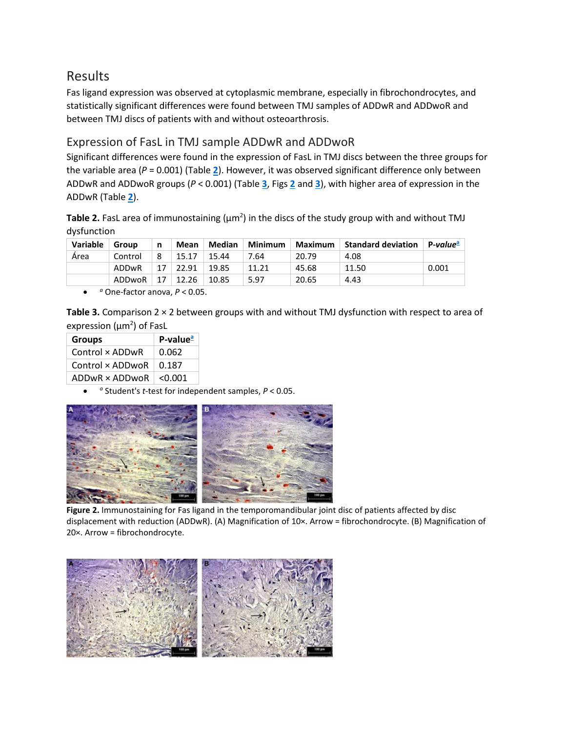# Results

Fas ligand expression was observed at cytoplasmic membrane, especially in fibrochondrocytes, and statistically significant differences were found between TMJ samples of ADDwR and ADDwoR and between TMJ discs of patients with and without osteoarthrosis.

## Expression of FasL in TMJ sample ADDwR and ADDwoR

Significant differences were found in the expression of FasL in TMJ discs between the three groups for the variable area (*P* = 0.001) (Table **[2](https://onlinelibrary.wiley.com/doi/full/10.1111/jop.12089#jop12089-tbl-0002)**). However, it was observed significant difference only between ADDwR and ADDwoR groups (*P* < 0.001) (Table **[3](https://onlinelibrary.wiley.com/doi/full/10.1111/jop.12089#jop12089-tbl-0003)**, Figs **[2](https://onlinelibrary.wiley.com/doi/full/10.1111/jop.12089#jop12089-fig-0002)** and **[3](https://onlinelibrary.wiley.com/doi/full/10.1111/jop.12089#jop12089-fig-0003)**), with higher area of expression in the ADDwR (Table **[2](https://onlinelibrary.wiley.com/doi/full/10.1111/jop.12089#jop12089-tbl-0002)**).

**Table 2.** FasL area of immunostaining (μm<sup>2</sup>) in the discs of the study group with and without TMJ dysfunction

| Variable | Group   | n  | Mean  | <b>Median</b> | Minimum | Maximum | <b>Standard deviation</b> | - P-value <sup>a</sup> |
|----------|---------|----|-------|---------------|---------|---------|---------------------------|------------------------|
| Area     | Control | 8  | 15.17 | 15.44         | 7.64    | 20.79   | 4.08                      |                        |
|          | ADDwR   |    | 22.91 | 19.85         | 11.21   | 45.68   | 11.50                     | 0.001                  |
|          | ADDwoR  | 17 | 12.26 | 10.85         | 5.97    | 20.65   | 4.43                      |                        |

• *<sup>a</sup>* One-factor anova, *P* < 0.05.

**Table 3.** Comparison 2 × 2 between groups with and without TMJ dysfunction with respect to area of expression (μm<sup>2</sup>) of FasL

| <b>Groups</b>    | P-value <sup>a</sup> |
|------------------|----------------------|
| Control × ADDwR  | 0.062                |
| Control × ADDwoR | 0.187                |
| ADDwR × ADDwoR   | < 0.001              |

• *<sup>a</sup>* Student's *t*-test for independent samples, *P* < 0.05.



**Figure 2.** Immunostaining for Fas ligand in the temporomandibular joint disc of patients affected by disc displacement with reduction (ADDwR). (A) Magnification of 10×. Arrow = fibrochondrocyte. (B) Magnification of 20×. Arrow = fibrochondrocyte.

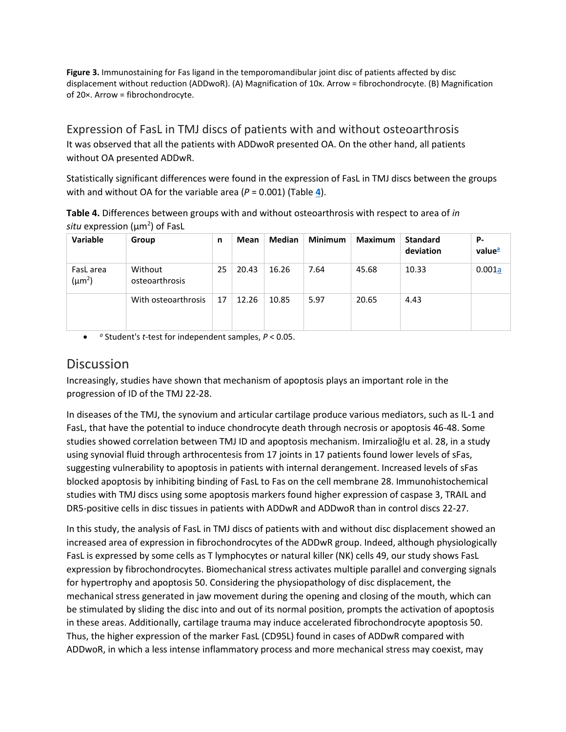**Figure 3.** Immunostaining for Fas ligand in the temporomandibular joint disc of patients affected by disc displacement without reduction (ADDwoR). (A) Magnification of 10x. Arrow = fibrochondrocyte. (B) Magnification of 20×. Arrow = fibrochondrocyte.

Expression of FasL in TMJ discs of patients with and without osteoarthrosis It was observed that all the patients with ADDwoR presented OA. On the other hand, all patients without OA presented ADDwR.

Statistically significant differences were found in the expression of FasL in TMJ discs between the groups with and without OA for the variable area (*P* = 0.001) (Table **[4](https://onlinelibrary.wiley.com/doi/full/10.1111/jop.12089#jop12089-tbl-0004)**).

**Table 4.** Differences between groups with and without osteoarthrosis with respect to area of *in*   $\textit{situ}$  expression (μm<sup>2</sup>) of FasL

| Variable                 | Group                     | n  | Mean  | Median | <b>Minimum</b> | Maximum | <b>Standard</b><br>deviation | P-<br>value <sup>a</sup> |
|--------------------------|---------------------------|----|-------|--------|----------------|---------|------------------------------|--------------------------|
| FasL area<br>$(\mu m^2)$ | Without<br>osteoarthrosis | 25 | 20.43 | 16.26  | 7.64           | 45.68   | 10.33                        | 0.001a                   |
|                          | With osteoarthrosis       | 17 | 12.26 | 10.85  | 5.97           | 20.65   | 4.43                         |                          |

• *<sup>a</sup>* Student's *t*-test for independent samples, *P* < 0.05.

## **Discussion**

Increasingly, studies have shown that mechanism of apoptosis plays an important role in the progression of ID of the TMJ 22-28.

In diseases of the TMJ, the synovium and articular cartilage produce various mediators, such as IL-1 and FasL, that have the potential to induce chondrocyte death through necrosis or apoptosis 46-48. Some studies showed correlation between TMJ ID and apoptosis mechanism. Imirzalioğlu et al. 28, in a study using synovial fluid through arthrocentesis from 17 joints in 17 patients found lower levels of sFas, suggesting vulnerability to apoptosis in patients with internal derangement. Increased levels of sFas blocked apoptosis by inhibiting binding of FasL to Fas on the cell membrane 28. Immunohistochemical studies with TMJ discs using some apoptosis markers found higher expression of caspase 3, TRAIL and DR5-positive cells in disc tissues in patients with ADDwR and ADDwoR than in control discs 22-27.

In this study, the analysis of FasL in TMJ discs of patients with and without disc displacement showed an increased area of expression in fibrochondrocytes of the ADDwR group. Indeed, although physiologically FasL is expressed by some cells as T lymphocytes or natural killer (NK) cells 49, our study shows FasL expression by fibrochondrocytes. Biomechanical stress activates multiple parallel and converging signals for hypertrophy and apoptosis 50. Considering the physiopathology of disc displacement, the mechanical stress generated in jaw movement during the opening and closing of the mouth, which can be stimulated by sliding the disc into and out of its normal position, prompts the activation of apoptosis in these areas. Additionally, cartilage trauma may induce accelerated fibrochondrocyte apoptosis 50. Thus, the higher expression of the marker FasL (CD95L) found in cases of ADDwR compared with ADDwoR, in which a less intense inflammatory process and more mechanical stress may coexist, may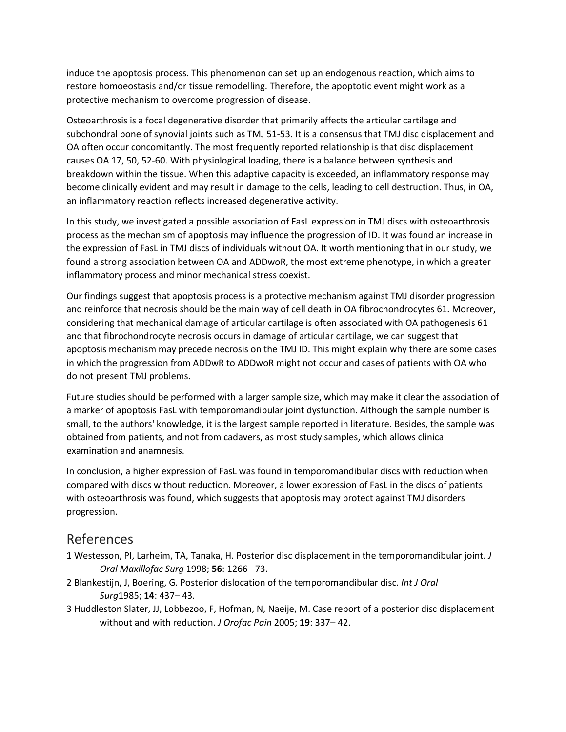induce the apoptosis process. This phenomenon can set up an endogenous reaction, which aims to restore homoeostasis and/or tissue remodelling. Therefore, the apoptotic event might work as a protective mechanism to overcome progression of disease.

Osteoarthrosis is a focal degenerative disorder that primarily affects the articular cartilage and subchondral bone of synovial joints such as TMJ 51-53. It is a consensus that TMJ disc displacement and OA often occur concomitantly. The most frequently reported relationship is that disc displacement causes OA 17, 50, 52-60. With physiological loading, there is a balance between synthesis and breakdown within the tissue. When this adaptive capacity is exceeded, an inflammatory response may become clinically evident and may result in damage to the cells, leading to cell destruction. Thus, in OA, an inflammatory reaction reflects increased degenerative activity.

In this study, we investigated a possible association of FasL expression in TMJ discs with osteoarthrosis process as the mechanism of apoptosis may influence the progression of ID. It was found an increase in the expression of FasL in TMJ discs of individuals without OA. It worth mentioning that in our study, we found a strong association between OA and ADDwoR, the most extreme phenotype, in which a greater inflammatory process and minor mechanical stress coexist.

Our findings suggest that apoptosis process is a protective mechanism against TMJ disorder progression and reinforce that necrosis should be the main way of cell death in OA fibrochondrocytes 61. Moreover, considering that mechanical damage of articular cartilage is often associated with OA pathogenesis 61 and that fibrochondrocyte necrosis occurs in damage of articular cartilage, we can suggest that apoptosis mechanism may precede necrosis on the TMJ ID. This might explain why there are some cases in which the progression from ADDwR to ADDwoR might not occur and cases of patients with OA who do not present TMJ problems.

Future studies should be performed with a larger sample size, which may make it clear the association of a marker of apoptosis FasL with temporomandibular joint dysfunction. Although the sample number is small, to the authors' knowledge, it is the largest sample reported in literature. Besides, the sample was obtained from patients, and not from cadavers, as most study samples, which allows clinical examination and anamnesis.

In conclusion, a higher expression of FasL was found in temporomandibular discs with reduction when compared with discs without reduction. Moreover, a lower expression of FasL in the discs of patients with osteoarthrosis was found, which suggests that apoptosis may protect against TMJ disorders progression.

# References

- 1 Westesson, PI, Larheim, TA, Tanaka, H. Posterior disc displacement in the temporomandibular joint. *J Oral Maxillofac Surg* 1998; **56**: 1266– 73.
- 2 Blankestijn, J, Boering, G. Posterior dislocation of the temporomandibular disc. *Int J Oral Surg*1985; **14**: 437– 43.
- 3 Huddleston Slater, JJ, Lobbezoo, F, Hofman, N, Naeije, M. Case report of a posterior disc displacement without and with reduction. *J Orofac Pain* 2005; **19**: 337– 42.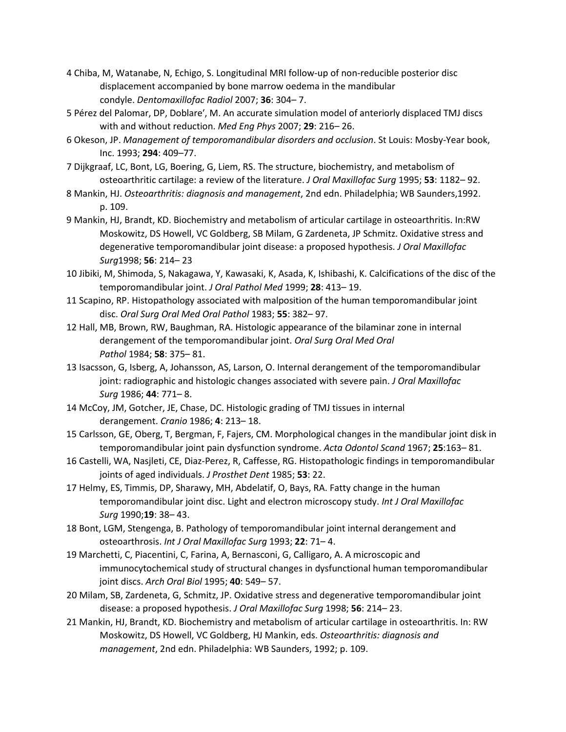- 4 Chiba, M, Watanabe, N, Echigo, S. Longitudinal MRI follow-up of non-reducible posterior disc displacement accompanied by bone marrow oedema in the mandibular condyle. *Dentomaxillofac Radiol* 2007; **36**: 304– 7.
- 5 Pérez del Palomar, DP, Doblare′, M. An accurate simulation model of anteriorly displaced TMJ discs with and without reduction. *Med Eng Phys* 2007; **29**: 216– 26.
- 6 Okeson, JP. *Management of temporomandibular disorders and occlusion*. St Louis: Mosby-Year book, Inc. 1993; **294**: 409–77.
- 7 Dijkgraaf, LC, Bont, LG, Boering, G, Liem, RS. The structure, biochemistry, and metabolism of osteoarthritic cartilage: a review of the literature. *J Oral Maxillofac Surg* 1995; **53**: 1182– 92.
- 8 Mankin, HJ. *Osteoarthritis: diagnosis and management*, 2nd edn. Philadelphia; WB Saunders,1992. p. 109.
- 9 Mankin, HJ, Brandt, KD. Biochemistry and metabolism of articular cartilage in osteoarthritis. In:RW Moskowitz, DS Howell, VC Goldberg, SB Milam, G Zardeneta, JP Schmitz. Oxidative stress and degenerative temporomandibular joint disease: a proposed hypothesis. *J Oral Maxillofac Surg*1998; **56**: 214– 23
- 10 Jibiki, M, Shimoda, S, Nakagawa, Y, Kawasaki, K, Asada, K, Ishibashi, K. Calcifications of the disc of the temporomandibular joint. *J Oral Pathol Med* 1999; **28**: 413– 19.
- 11 Scapino, RP. Histopathology associated with malposition of the human temporomandibular joint disc. *Oral Surg Oral Med Oral Pathol* 1983; **55**: 382– 97.
- 12 Hall, MB, Brown, RW, Baughman, RA. Histologic appearance of the bilaminar zone in internal derangement of the temporomandibular joint. *Oral Surg Oral Med Oral Pathol* 1984; **58**: 375– 81.
- 13 Isacsson, G, Isberg, A, Johansson, AS, Larson, O. Internal derangement of the temporomandibular joint: radiographic and histologic changes associated with severe pain. *J Oral Maxillofac Surg* 1986; **44**: 771– 8.
- 14 McCoy, JM, Gotcher, JE, Chase, DC. Histologic grading of TMJ tissues in internal derangement. *Cranio* 1986; **4**: 213– 18.
- 15 Carlsson, GE, Oberg, T, Bergman, F, Fajers, CM. Morphological changes in the mandibular joint disk in temporomandibular joint pain dysfunction syndrome. *Acta Odontol Scand* 1967; **25**:163– 81.
- 16 Castelli, WA, Nasjleti, CE, Diaz-Perez, R, Caffesse, RG. Histopathologic findings in temporomandibular joints of aged individuals. *J Prosthet Dent* 1985; **53**: 22.
- 17 Helmy, ES, Timmis, DP, Sharawy, MH, Abdelatif, O, Bays, RA. Fatty change in the human temporomandibular joint disc. Light and electron microscopy study. *Int J Oral Maxillofac Surg* 1990;**19**: 38– 43.
- 18 Bont, LGM, Stengenga, B. Pathology of temporomandibular joint internal derangement and osteoarthrosis. *Int J Oral Maxillofac Surg* 1993; **22**: 71– 4.
- 19 Marchetti, C, Piacentini, C, Farina, A, Bernasconi, G, Calligaro, A. A microscopic and immunocytochemical study of structural changes in dysfunctional human temporomandibular joint discs. *Arch Oral Biol* 1995; **40**: 549– 57.
- 20 Milam, SB, Zardeneta, G, Schmitz, JP. Oxidative stress and degenerative temporomandibular joint disease: a proposed hypothesis. *J Oral Maxillofac Surg* 1998; **56**: 214– 23.
- 21 Mankin, HJ, Brandt, KD. Biochemistry and metabolism of articular cartilage in osteoarthritis. In: RW Moskowitz, DS Howell, VC Goldberg, HJ Mankin, eds. *Osteoarthritis: diagnosis and management*, 2nd edn. Philadelphia: WB Saunders, 1992; p. 109.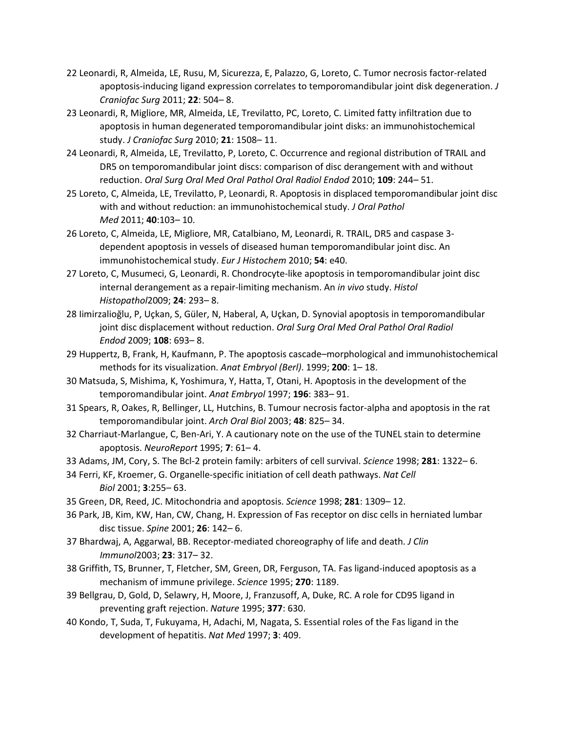- 22 Leonardi, R, Almeida, LE, Rusu, M, Sicurezza, E, Palazzo, G, Loreto, C. Tumor necrosis factor-related apoptosis-inducing ligand expression correlates to temporomandibular joint disk degeneration. *J Craniofac Surg* 2011; **22**: 504– 8.
- 23 Leonardi, R, Migliore, MR, Almeida, LE, Trevilatto, PC, Loreto, C. Limited fatty infiltration due to apoptosis in human degenerated temporomandibular joint disks: an immunohistochemical study. *J Craniofac Surg* 2010; **21**: 1508– 11.
- 24 Leonardi, R, Almeida, LE, Trevilatto, P, Loreto, C. Occurrence and regional distribution of TRAIL and DR5 on temporomandibular joint discs: comparison of disc derangement with and without reduction. *Oral Surg Oral Med Oral Pathol Oral Radiol Endod* 2010; **109**: 244– 51.
- 25 Loreto, C, Almeida, LE, Trevilatto, P, Leonardi, R. Apoptosis in displaced temporomandibular joint disc with and without reduction: an immunohistochemical study. *J Oral Pathol Med* 2011; **40**:103– 10.
- 26 Loreto, C, Almeida, LE, Migliore, MR, Catalbiano, M, Leonardi, R. TRAIL, DR5 and caspase 3 dependent apoptosis in vessels of diseased human temporomandibular joint disc. An immunohistochemical study. *Eur J Histochem* 2010; **54**: e40.
- 27 Loreto, C, Musumeci, G, Leonardi, R. Chondrocyte-like apoptosis in temporomandibular joint disc internal derangement as a repair-limiting mechanism. An *in vivo* study. *Histol Histopathol*2009; **24**: 293– 8.
- 28 Iimirzalioğlu, P, Uçkan, S, Güler, N, Haberal, A, Uçkan, D. Synovial apoptosis in temporomandibular joint disc displacement without reduction. *Oral Surg Oral Med Oral Pathol Oral Radiol Endod* 2009; **108**: 693– 8.
- 29 Huppertz, B, Frank, H, Kaufmann, P. The apoptosis cascade–morphological and immunohistochemical methods for its visualization. *Anat Embryol (Berl)*. 1999; **200**: 1– 18.
- 30 Matsuda, S, Mishima, K, Yoshimura, Y, Hatta, T, Otani, H. Apoptosis in the development of the temporomandibular joint. *Anat Embryol* 1997; **196**: 383– 91.
- 31 Spears, R, Oakes, R, Bellinger, LL, Hutchins, B. Tumour necrosis factor-alpha and apoptosis in the rat temporomandibular joint. *Arch Oral Biol* 2003; **48**: 825– 34.
- 32 Charriaut-Marlangue, C, Ben-Ari, Y. A cautionary note on the use of the TUNEL stain to determine apoptosis. *NeuroReport* 1995; **7**: 61– 4.
- 33 Adams, JM, Cory, S. The Bcl-2 protein family: arbiters of cell survival. *Science* 1998; **281**: 1322– 6.
- 34 Ferri, KF, Kroemer, G. Organelle-specific initiation of cell death pathways. *Nat Cell Biol* 2001; **3**:255– 63.
- 35 Green, DR, Reed, JC. Mitochondria and apoptosis. *Science* 1998; **281**: 1309– 12.
- 36 Park, JB, Kim, KW, Han, CW, Chang, H. Expression of Fas receptor on disc cells in herniated lumbar disc tissue. *Spine* 2001; **26**: 142– 6.
- 37 Bhardwaj, A, Aggarwal, BB. Receptor-mediated choreography of life and death. *J Clin Immunol*2003; **23**: 317– 32.
- 38 Griffith, TS, Brunner, T, Fletcher, SM, Green, DR, Ferguson, TA. Fas ligand-induced apoptosis as a mechanism of immune privilege. *Science* 1995; **270**: 1189.
- 39 Bellgrau, D, Gold, D, Selawry, H, Moore, J, Franzusoff, A, Duke, RC. A role for CD95 ligand in preventing graft rejection. *Nature* 1995; **377**: 630.
- 40 Kondo, T, Suda, T, Fukuyama, H, Adachi, M, Nagata, S. Essential roles of the Fas ligand in the development of hepatitis. *Nat Med* 1997; **3**: 409.